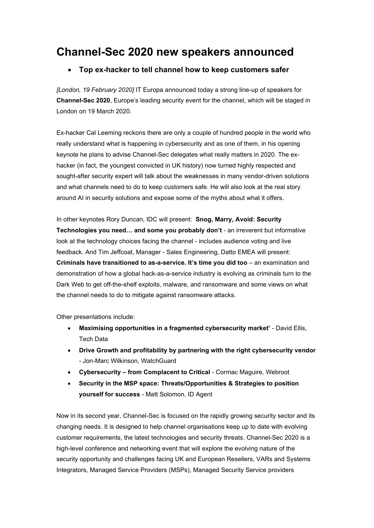## **Channel-Sec 2020 new speakers announced**

## • **Top ex-hacker to tell channel how to keep customers safer**

*[London, 19 February 2020]* IT Europa announced today a strong line-up of speakers for **Channel-Sec 2020**, Europe's leading security event for the channel, which will be staged in London on 19 March 2020.

Ex-hacker Cal Leeming reckons there are only a couple of hundred people in the world who really understand what is happening in cybersecurity and as one of them, in his opening keynote he plans to advise Channel-Sec delegates what really matters in 2020. The exhacker (in fact, the youngest convicted in UK history) now turned highly respected and sought-after security expert will talk about the weaknesses in many vendor-driven solutions and what channels need to do to keep customers safe. He will also look at the real story around AI in security solutions and expose some of the myths about what it offers.

In other keynotes Rory Duncan, IDC will present: **Snog, Marry, Avoid: Security Technologies you need… and some you probably don't** - an irreverent but informative look at the technology choices facing the channel - includes audience voting and live feedback. And Tim Jeffcoat, Manager - Sales Engineering, Datto EMEA will present: **Criminals have transitioned to as-a-service. It's time you did too** – an examination and demonstration of how a global hack-as-a-service industry is evolving as criminals turn to the Dark Web to get off-the-shelf exploits, malware, and ransomware and some views on what the channel needs to do to mitigate against ransomware attacks.

Other presentations include:

- **Maximising opportunities in a fragmented cybersecurity market'** David Ellis, Tech Data
- **Drive Growth and profitability by partnering with the right cybersecurity vendor** - Jon-Marc Wilkinson, WatchGuard
- **Cybersecurity – from Complacent to Critical** Cormac Maguire, Webroot
- **Security in the MSP space: Threats/Opportunities & Strategies to position yourself for success** - Matt Solomon, ID Agent

Now in its second year, Channel-Sec is focused on the rapidly growing security sector and its changing needs. It is designed to help channel organisations keep up to date with evolving customer requirements, the latest technologies and security threats. Channel-Sec 2020 is a high-level conference and networking event that will explore the evolving nature of the security opportunity and challenges facing UK and European Resellers, VARs and Systems Integrators, Managed Service Providers (MSPs), Managed Security Service providers